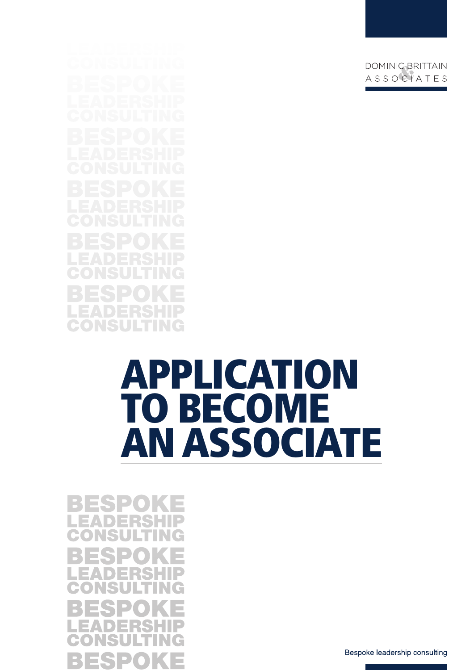# APPLICATION TO BECOME AN ASSOCIATE

E. ES P B m.

Bespoke leadership consulting

DOMINIC BRITTAIN ASSOCIATES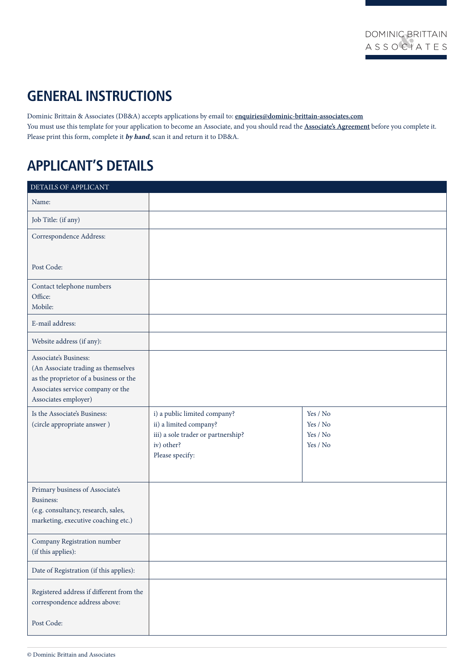# **GENERAL INSTRUCTIONS**

Dominic Brittain & Associates (DB&A) accepts applications by email to: **enquiries@dominic-brittain-associates.com** You must use this template for your application to become an Associate, and you should read the **[Associate's Agreement](http://dominic-brittain-associates.com/downloads/DBA-associates-agreement.pdf)** before you complete it. Please print this form, complete it **by hand**, scan it and return it to DB&A.

# **APPLICANT'S DETAILS**

| DETAILS OF APPLICANT                                                                                                                                                |                                                                                                                               |                                              |
|---------------------------------------------------------------------------------------------------------------------------------------------------------------------|-------------------------------------------------------------------------------------------------------------------------------|----------------------------------------------|
| Name:                                                                                                                                                               |                                                                                                                               |                                              |
| Job Title: (if any)                                                                                                                                                 |                                                                                                                               |                                              |
| Correspondence Address:                                                                                                                                             |                                                                                                                               |                                              |
|                                                                                                                                                                     |                                                                                                                               |                                              |
| Post Code:                                                                                                                                                          |                                                                                                                               |                                              |
| Contact telephone numbers                                                                                                                                           |                                                                                                                               |                                              |
| Office:<br>Mobile:                                                                                                                                                  |                                                                                                                               |                                              |
| E-mail address:                                                                                                                                                     |                                                                                                                               |                                              |
| Website address (if any):                                                                                                                                           |                                                                                                                               |                                              |
| Associate's Business:<br>(An Associate trading as themselves<br>as the proprietor of a business or the<br>Associates service company or the<br>Associates employer) |                                                                                                                               |                                              |
| Is the Associate's Business:<br>(circle appropriate answer)                                                                                                         | i) a public limited company?<br>ii) a limited company?<br>iii) a sole trader or partnership?<br>iv) other?<br>Please specify: | Yes / No<br>Yes / No<br>Yes / No<br>Yes / No |
| Primary business of Associate's<br>Business:<br>(e.g. consultancy, research, sales,<br>marketing, executive coaching etc.)                                          |                                                                                                                               |                                              |
| Company Registration number<br>(if this applies):                                                                                                                   |                                                                                                                               |                                              |
| Date of Registration (if this applies):                                                                                                                             |                                                                                                                               |                                              |
| Registered address if different from the<br>correspondence address above:                                                                                           |                                                                                                                               |                                              |
| Post Code:                                                                                                                                                          |                                                                                                                               |                                              |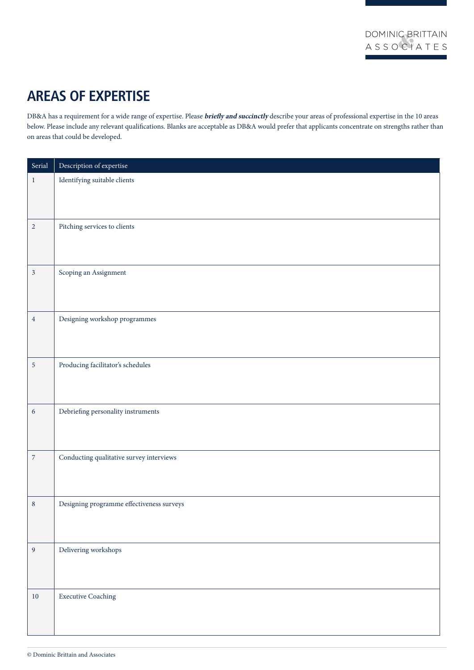# **AREAS OF EXPERTISE**

DB&A has a requirement for a wide range of expertise. Please **briefly and succinctly** describe your areas of professional expertise in the 10 areas below. Please include any relevant qualifications. Blanks are acceptable as DB&A would prefer that applicants concentrate on strengths rather than on areas that could be developed.

| Serial           | Description of expertise                  |
|------------------|-------------------------------------------|
| $\mathbf{1}$     | Identifying suitable clients              |
|                  |                                           |
|                  |                                           |
| $\overline{2}$   | Pitching services to clients              |
|                  |                                           |
|                  |                                           |
| $\mathfrak{Z}$   | Scoping an Assignment                     |
|                  |                                           |
|                  |                                           |
| $\sqrt{4}$       | Designing workshop programmes             |
|                  |                                           |
|                  |                                           |
| $\sqrt{5}$       | Producing facilitator's schedules         |
|                  |                                           |
| $\sqrt{6}$       | Debriefing personality instruments        |
|                  |                                           |
|                  |                                           |
| $\boldsymbol{7}$ | Conducting qualitative survey interviews  |
|                  |                                           |
|                  |                                           |
| $\bf 8$          | Designing programme effectiveness surveys |
|                  |                                           |
|                  |                                           |
| $\overline{9}$   | Delivering workshops                      |
|                  |                                           |
|                  |                                           |
| $10\,$           | <b>Executive Coaching</b>                 |
|                  |                                           |
|                  |                                           |